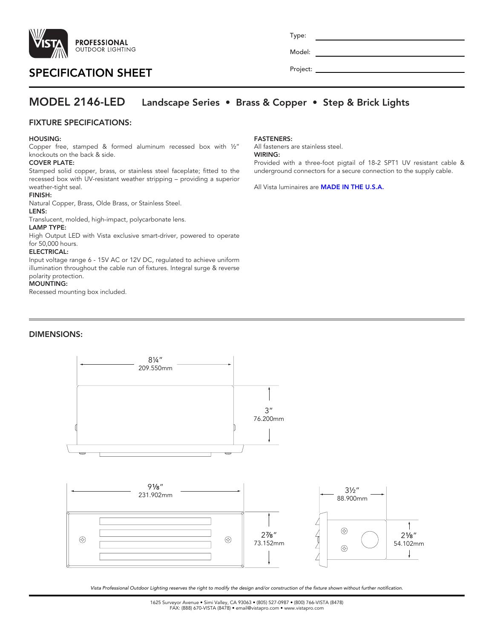

# SPECIFICATION SHEET

Type:

Model:

Project:

## MODEL 2146-LED Landscape Series • Brass & Copper • Step & Brick Lights

## FIXTURE SPECIFICATIONS:

#### HOUSING:

Copper free, stamped & formed aluminum recessed box with ½" knockouts on the back & side.

### COVER PLATE:

Stamped solid copper, brass, or stainless steel faceplate; fitted to the recessed box with UV-resistant weather stripping – providing a superior weather-tight seal.

## FINISH:

Natural Copper, Brass, Olde Brass, or Stainless Steel.

## LENS:

Translucent, molded, high-impact, polycarbonate lens.

#### LAMP TYPE:

High Output LED with Vista exclusive smart-driver, powered to operate for 50,000 hours.

#### ELECTRICAL:

Input voltage range 6 - 15V AC or 12V DC, regulated to achieve uniform illumination throughout the cable run of fixtures. Integral surge & reverse polarity protection.

#### MOUNTING:

Recessed mounting box included.

## DIMENSIONS:



All fasteners are stainless steel.

#### WIRING:

Provided with a three-foot pigtail of 18-2 SPT1 UV resistant cable & underground connectors for a secure connection to the supply cable.

All Vista luminaires are **MADE IN THE U.S.A.** 



*Vista Professional Outdoor Lighting reserves the right to modify the design and/or construction of the fixture shown without further notification.*